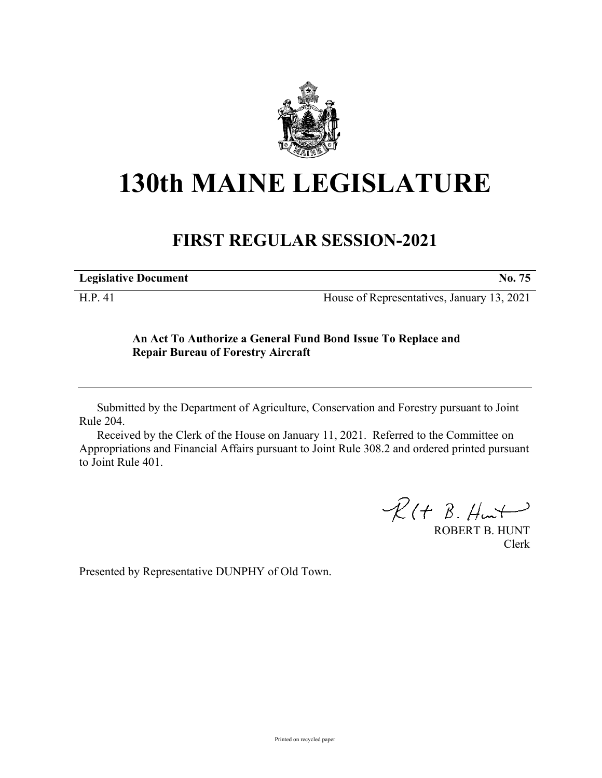

# **130th MAINE LEGISLATURE**

# **FIRST REGULAR SESSION-2021**

| <b>Legislative Document</b> | NO. |
|-----------------------------|-----|
|-----------------------------|-----|

H.P. 41 House of Representatives, January 13, 2021

## **An Act To Authorize a General Fund Bond Issue To Replace and Repair Bureau of Forestry Aircraft**

Submitted by the Department of Agriculture, Conservation and Forestry pursuant to Joint Rule 204.

Received by the Clerk of the House on January 11, 2021. Referred to the Committee on Appropriations and Financial Affairs pursuant to Joint Rule 308.2 and ordered printed pursuant to Joint Rule 401.

 $R(H B. H<sub>un</sub>)$ 

ROBERT B. HUNT Clerk

Presented by Representative DUNPHY of Old Town.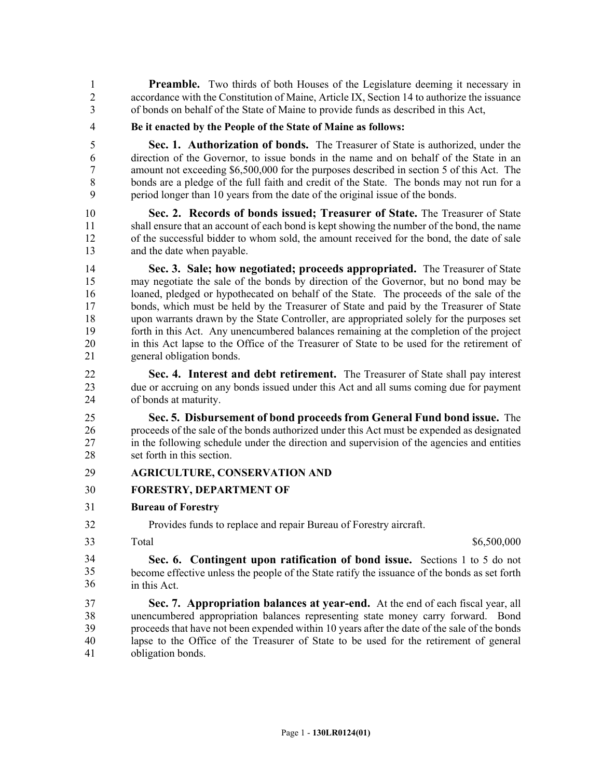**Preamble.** Two thirds of both Houses of the Legislature deeming it necessary in 2 accordance with the Constitution of Maine, Article IX, Section 14 to authorize the issuance 3 of bonds on behalf of the State of Maine to provide funds as described in this Act,

4 **Be it enacted by the People of the State of Maine as follows:**

5 **Sec. 1. Authorization of bonds.** The Treasurer of State is authorized, under the 6 direction of the Governor, to issue bonds in the name and on behalf of the State in an 7 amount not exceeding \$6,500,000 for the purposes described in section 5 of this Act. The 8 bonds are a pledge of the full faith and credit of the State. The bonds may not run for a 9 period longer than 10 years from the date of the original issue of the bonds.

10 **Sec. 2. Records of bonds issued; Treasurer of State.** The Treasurer of State 11 shall ensure that an account of each bond is kept showing the number of the bond, the name 12 of the successful bidder to whom sold, the amount received for the bond, the date of sale 13 and the date when payable.

14 **Sec. 3. Sale; how negotiated; proceeds appropriated.** The Treasurer of State 15 may negotiate the sale of the bonds by direction of the Governor, but no bond may be 16 loaned, pledged or hypothecated on behalf of the State. The proceeds of the sale of the 17 bonds, which must be held by the Treasurer of State and paid by the Treasurer of State 18 upon warrants drawn by the State Controller, are appropriated solely for the purposes set 19 forth in this Act. Any unencumbered balances remaining at the completion of the project 20 in this Act lapse to the Office of the Treasurer of State to be used for the retirement of 21 general obligation bonds.

22 **Sec. 4. Interest and debt retirement.** The Treasurer of State shall pay interest 23 due or accruing on any bonds issued under this Act and all sums coming due for payment 24 of bonds at maturity.

25 **Sec. 5. Disbursement of bond proceeds from General Fund bond issue.** The 26 proceeds of the sale of the bonds authorized under this Act must be expended as designated 27 in the following schedule under the direction and supervision of the agencies and entities 28 set forth in this section.

### 29 **AGRICULTURE, CONSERVATION AND**

#### 30 **FORESTRY, DEPARTMENT OF**

31 **Bureau of Forestry**

32 Provides funds to replace and repair Bureau of Forestry aircraft.

33

Total \$6,500,000 \$6,500,000 \$6,500,000 \$6,500,000 \$6,500,000 \$6,500 \$6,500 \$6,500 \$6,500 \$6,500 \$6,500 \$6,500 \$6,500 \$6,500 \$6,500 \$6,500 \$6,500 \$6,500 \$6,500 \$6,500 \$6,500 \$6,500 \$6,500 \$6,500 \$6,500 \$6,500 \$6,500 \$6,500

33 **Sec. 6. Contingent upon ratification of bond issue.** Sections 1 to 5 do not become effective unless the people of the State ratify the issuance of the bonds as set forth in this Act. 34 35 36

37 **Sec. 7. Appropriation balances at year-end.** At the end of each fiscal year, all 38 unencumbered appropriation balances representing state money carry forward. Bond 39 proceeds that have not been expended within 10 years after the date of the sale of the bonds 40 lapse to the Office of the Treasurer of State to be used for the retirement of general 41 obligation bonds.